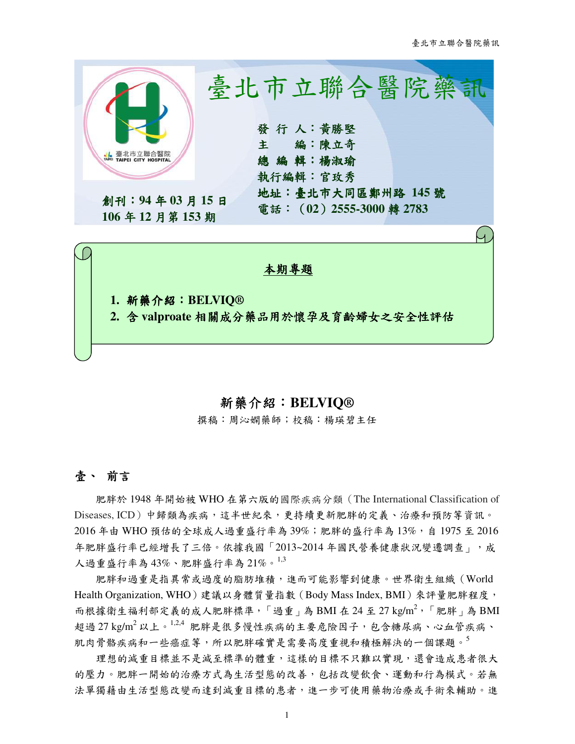

## 新藥介紹:**BELVIQ®**

撰稿:周沁嫻藥師;校稿:楊瑛碧主任

# 壹、 前言

肥胖於 1948 年開始被 WHO 在第六版的國際疾病分類(The International Classification of Diseases, ICD)中歸類為疾病,這半世紀來,更持續更新肥胖的定義、治療和預防等資訊。 2016年由 WHO 預估的全球成人過重盛行率為 39%;肥胖的盛行率為 13%,自 1975 至 2016 年肥胖盛行率已經增長了三倍。依據我國「2013~2014 年國民營養健康狀況變遷調查」,成 人過重盛行率為 43%、肥胖盛行率為 21%。1,3

肥胖和過重是指異常或過度的脂肪堆積,進而可能影響到健康。世界衛生組織(World Health Organization, WHO)建議以身體質量指數 (Body Mass Index, BMI) 來評量肥胖程度, 而根據衛生福利部定義的成人肥胖標準,「過重」為 BMI 在 24 至 27 kg/m<sup>2</sup>,「肥胖」為 BMI 超過 27 kg/m<sup>2</sup> 以上。<sup>1,2,4</sup> 肥胖是很多慢性疾病的主要危險因子,包含糖尿病、心血管疾病、 肌肉骨骼疾病和一些癌症等,所以肥胖確實是需要高度重視和積極解決的一個課題。5

理想的減重目標並不是減至標準的體重,這樣的目標不只難以實現,還會造成患者很大 的壓力。肥胖一開始的治療方式為生活型態的改善,包括改變飲食、運動和行為模式。若無 法單獨藉由生活型態改變而達到減重目標的患者,進一步可使用藥物治療或手術來輔助。進

1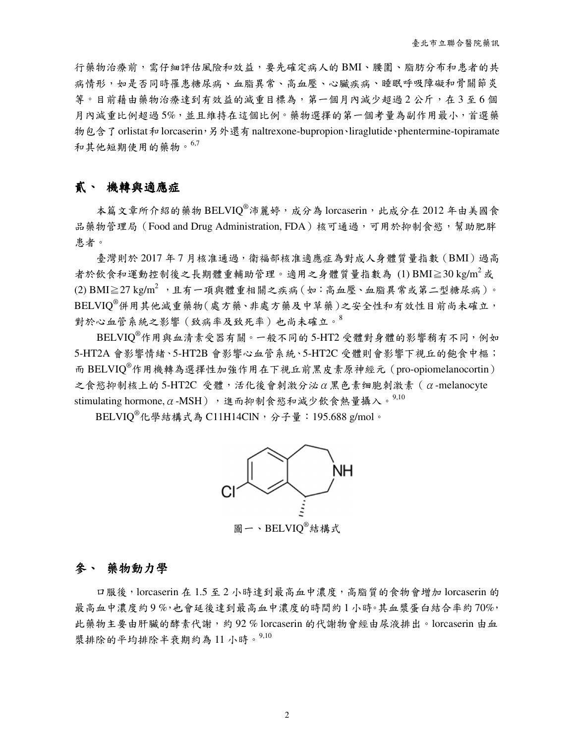行藥物治療前,需仔細評估風險和效益,要先確定病人的 BMI、腰圍、脂肪分布和患者的共 病情形,如是否同時罹患糖尿病、血脂異常、高血壓、心臟疾病、睡眠呼吸障礙和骨關節炎 等。目前藉由藥物治療達到有效益的減重目標為,第一個月內減少超過2公斤,在3至6個 月內減重比例超過 5%,並且維持在這個比例。藥物選擇的第一個考量為副作用最小,首選藥 物包含了orlistat和lorcaserin,另外還有naltrexone-bupropion、liraglutide、phentermine-topiramate 和其他短期使用的藥物。 $6,7$ 

# 貳、 機轉與適應症

本篇文章所介紹的藥物 BELVIQ®沛麗婷,成分為 lorcaserin,此成分在 2012 年由美國食 品藥物管理局 (Food and Drug Administration, FDA)核可通過,可用於抑制食慾,幫助肥胖 患者。

臺灣則於 2017年7月核准通過,衛福部核准適應症為對成人身體質量指數(BMI)過高 者於飲食和運動控制後之長期體重輔助管理。適用之身體質量指數為 (1) BMI $\geq$ 30 kg/m<sup>2</sup> 或 (2) BMI $\geq$ 27 kg/m<sup>2</sup>, 且有一項與體重相關之疾病(如:高血壓、血脂異常或第二型糖尿病)。 BELVIQ®併用其他減重藥物(處方藥、非處方藥及中草藥)之安全性和有效性目前尚未確立, 對於心血管系統之影響(致病率及致死率)也尚未確立。<sup>8</sup>

 $BELVIQ^{\circledast}$ 作用與血清素受器有關。一般不同的 5-HT2 受體對身體的影響稍有不同,例如 5-HT2A 會影響情緒、5-HT2B 會影響心血管系統、5-HT2C 受體則會影響下視丘的飽食中樞; 而 BELVIQ®作用機轉為選擇性加強作用在下視丘前黑皮素原神經元(pro-opiomelanocortin)  $z$ 食慾抑制核上的 5-HT2C 受體,活化後會刺激分泌α黑色素细胞刺激素 (α-melanocyte stimulating hormone, α-MSH), 進而抑制食慾和減少飲食熱量攝入。9,10

BELVIO<sup>®</sup>化學結構式為 C11H14ClN,分子量: 195.688 g/mol。



### 參、 藥物動力學

口服後,lorcaserin 在 1.5 至 2 小時達到最高血中濃度,高脂質的食物會增加 lorcaserin 的 最高血中濃度約 9 %,也會延後達到最高血中濃度的時間約 1 小時。其血漿蛋白結合率約 70%, 此藥物主要由肝臟的酵素代謝,約 92 % lorcaserin 的代謝物會經由尿液排出。lorcaserin 由血 漿排除的平均排除半衰期約為 11 小時。9,10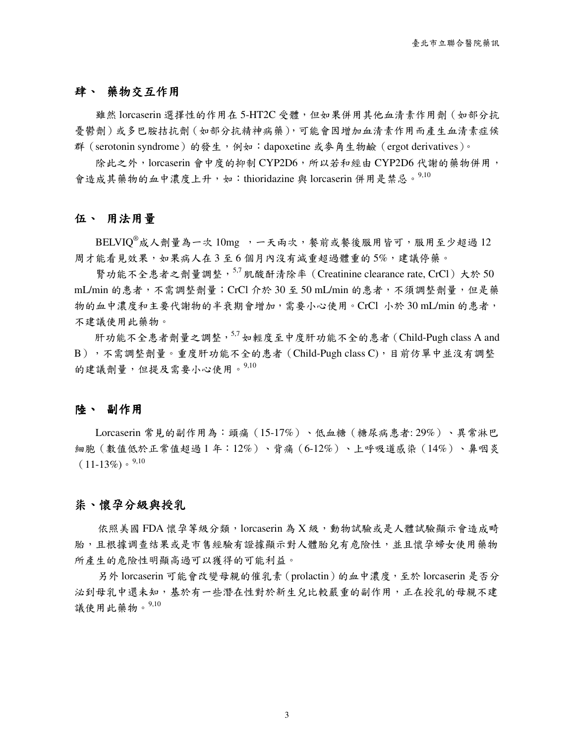### 肆、 藥物交互作用

雖然 lorcaserin 選擇性的作用在 5-HT2C 受體, 但如果併用其他血清素作用劑 (如部分抗 憂鬱劑)或多巴胺拮抗劑(如部分抗精神病藥),可能會因增加血清素作用而產生血清素症候 群(serotonin syndrome)的發生,例如: dapoxetine 或麥角生物鹼(ergot derivatives)。

除此之外,lorcaserin 會中度的抑制 CYP2D6,所以若和經由 CYP2D6 代謝的藥物併用, 會造成其藥物的血中濃度上升,如:thioridazine 與 lorcaserin 併用是禁忌。<sup>9,10</sup>

### 伍、 用法用量

 $BELVIQ<sup>®</sup>成人劑量為一次 10mg,,一天兩次,餐前或餐後服用皆可,服用至少超過12$ 周才能看見效果,如果病人在 3 至 6 個月內沒有減重超過體重的 5%,建議停藥。

腎功能不全患者之劑量調整, 5,7 肌酸酐清除率 (Creatinine clearance rate, CrCl)大於 50 mL/min 的患者,不需調整劑量;CrCl 介於 30 至 50 mL/min 的患者,不須調整劑量,但是藥 物的血中濃度和主要代謝物的半衰期會增加,需要小心使用。CrCl 小於 30 mL/min 的患者, 不建議使用此藥物。

肝功能不全患者劑量之調整, $5.7$ 如輕度至中度肝功能不全的患者 (Child-Pugh class A and B),不需調整劑量。重度肝功能不全的患者(Child-Pugh class C),目前仿單中並沒有調整 的建議劑量,但提及需要小心使用。<sup>9,10</sup>

### 陸、 副作用

Lorcaserin 常見的副作用為:頭痛(15-17%)、低血糖(糖尿病患者: 29%)、異常淋巴 細胞(數值低於正常值超過 1 年:12%)、背痛(6-12%)、上呼吸道感染(14%)、鼻咽炎  $(11-13\%) \cdot \frac{9,10}{9}$ 

### 柒、懷孕分級與授乳

依照美國 FDA 懷孕等級分類, lorcaserin 為 X 級, 動物試驗或是人體試驗顯示會造成畸 胎,且根據调查结果或是市售經驗有證據顯示對人體胎兒有危險性,並且懷孕婦女使用藥物 所產生的危險性明顯高過可以獲得的可能利益。

另外 lorcaserin 可能會改變母親的催乳素(prolactin)的血中濃度,至於 lorcaserin 是否分 泌到母乳中還未知,基於有一些潛在性對於新生兒比較嚴重的副作用,正在授乳的母親不建 議使用此藥物。9,10

3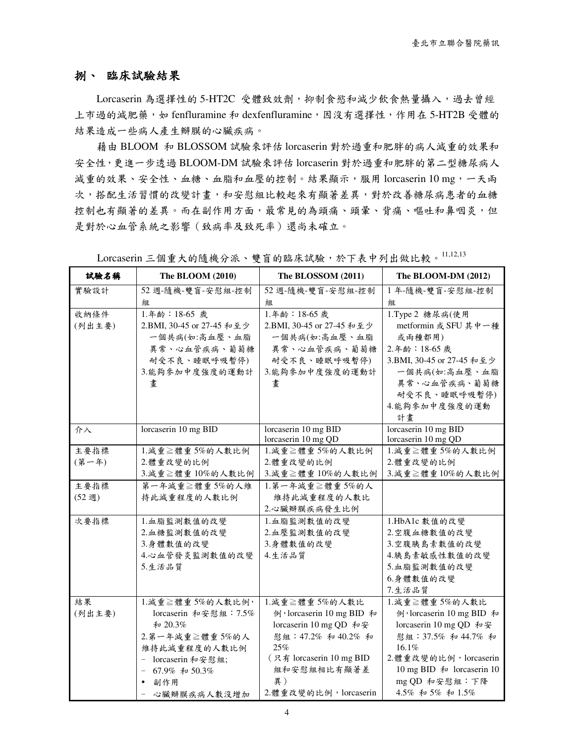### 捌、 臨床試驗結果

Lorcaserin 為選擇性的 5-HT2C 受體致效劑,抑制食慾和減少飲食熱量攝入,過去曾經 上市過的減肥藥, 如 fenfluramine 和 dexfenfluramine, 因沒有選擇性, 作用在 5-HT2B 受體的 結果造成一些病人產生瓣膜的心臟疾病。

藉由 BLOOM 和 BLOSSOM 試驗來評估 lorcaserin 對於過重和肥胖的病人減重的效果和 安全性,更進一步透過 BLOOM-DM 試驗來評估 lorcaserin 對於過重和肥胖的第二型糖尿病人 減重的效果、安全性、血糖、血脂和血壓的控制。結果顯示,服用 lorcaserin 10 mg,一天兩 次,搭配生活習慣的改變計畫,和安慰組比較起來有顯著差異,對於改善糖尿病患者的血糖 控制也有顯著的差異。而在副作用方面,最常見的為頭痛、頭暈、背痛、嘔吐和鼻咽炎,但 是對於心血管系統之影響(致病率及致死率)還尚未確立。

| 試驗名稱   | The BLOOM (2010)          | The BLOSSOM (2011)        | The BLOOM-DM (2012)       |
|--------|---------------------------|---------------------------|---------------------------|
| 實驗設計   | 52 週-隨機-雙盲-安慰組-控制         | 52 週-隨機-雙盲-安慰組-控制         | 1年-隨機-雙盲-安慰組-控制           |
|        | 組                         | 組                         | 組                         |
| 收納條件   | 1.年龄: 18-65 歲             | 1.年齢: 18-65 歲             | 1.Type 2 糖尿病(使用           |
| (列出主要) | 2.BMI, 30-45 or 27-45 和至少 | 2.BMI, 30-45 or 27-45 和至少 | metformin 或 SFU 其中一種      |
|        | 一個共病(如:高血壓、血脂             | 一個共病(如:高血壓、血脂             | 或兩種都用)                    |
|        | 異常、心血管疾病、葡萄糖              | 異常、心血管疾病、葡萄糖              | 2.年齡: 18-65歲              |
|        | 耐受不良、睡眠呼吸暫停)              | 耐受不良、睡眠呼吸暫停)              | 3.BMI, 30-45 or 27-45 和至少 |
|        | 3.能夠參加中度強度的運動計            | 3.能夠參加中度強度的運動計            | 一個共病(如:高血壓、血脂             |
|        | 畫                         | 畫                         | 異常、心血管疾病、葡萄糖              |
|        |                           |                           | 耐受不良、睡眠呼吸暫停)              |
|        |                           |                           | 4.能夠參加中度強度的運動             |
|        |                           |                           | 計畫                        |
| 介入     | lorcaserin 10 mg BID      | lorcaserin 10 mg BID      | lorcaserin 10 mg BID      |
|        |                           | lorcaserin 10 mg QD       | lorcaserin 10 mg QD       |
| 主要指標   | 1.減重≧體重5%的人數比例            | 1.減重≧體重5%的人數比例            | 1.減重≧體重5%的人數比例            |
| (第一年)  | 2.體重改變的比例                 | 2.體重改變的比例                 | 2.體重改變的比例                 |
|        | 3.減重≧體重10%的人數比例           | 3.減重≧體重10%的人數比例           | 3.減重≧體重10%的人數比例           |
| 主要指標   | 第一年減重≧體重5%的人維             | 1.第一年減重≧體重5%的人            |                           |
| (52週)  | 持此減重程度的人數比例               | 維持此減重程度的人數比               |                           |
|        |                           | 2.心臟瓣膜疾病發生比例              |                           |
| 次要指標   | 1.血脂監測數值的改變               | 1.血脂監測數值的改變               | 1.HbA1c 數值的改變             |
|        | 2.血糖監測數值的改變               | 2.血壓監測數值的改變               | 2.空腹血糖數值的改變               |
|        | 3.身體數值的改變                 | 3.身體數值的改變                 | 3.空腹胰島素數值的改變              |
|        | 4.心血管發炎監測數值的改變            | 4.生活品質                    | 4.胰島素敏感性數值的改變             |
|        | 5.生活品質                    |                           | 5.血脂監測數值的改變               |
|        |                           |                           | 6.身體數值的改變                 |
|        |                           |                           | 7.生活品質                    |
| 結果     | 1.減重≧體重5%的人數比例,           | 1.減重≧體重5%的人數比             | 1.減重≧體重5%的人數比             |
| (列出主要) | lorcaserin 和安慰組: 7.5%     | 例, lorcaserin 10 mg BID 和 | 例, lorcaserin 10 mg BID 和 |
|        | 和 20.3%                   | lorcaserin 10 mg QD 和安    | lorcaserin 10 mg QD 和安    |
|        | 2.第一年減重≧體重5%的人            | 慰組: 47.2% 和 40.2% 和       | 慰組: 37.5% 和 44.7% 和       |
|        | 維持此減重程度的人數比例              | 25%                       | 16.1%                     |
|        | - lorcaserin 和安慰組;        | (只有 lorcaserin 10 mg BID  | 2. 體重改變的比例, lorcaserin    |
|        | 67.9% 和 50.3%             | 組和安慰組相比有顯著差               | 10 mg BID 和 lorcaserin 10 |
|        | 副作用<br>$\bullet$          | 異)                        | mg QD 和安慰組:下降             |
|        | 心臟瓣膜疾病人數沒增加               | 2. 體重改變的比例, lorcaserin    | 4.5% 和 5% 和 1.5%          |

Lorcaserin 三個重大的隨機分派、雙盲的臨床試驗,於下表中列出做比較。 $^{11,12,13}$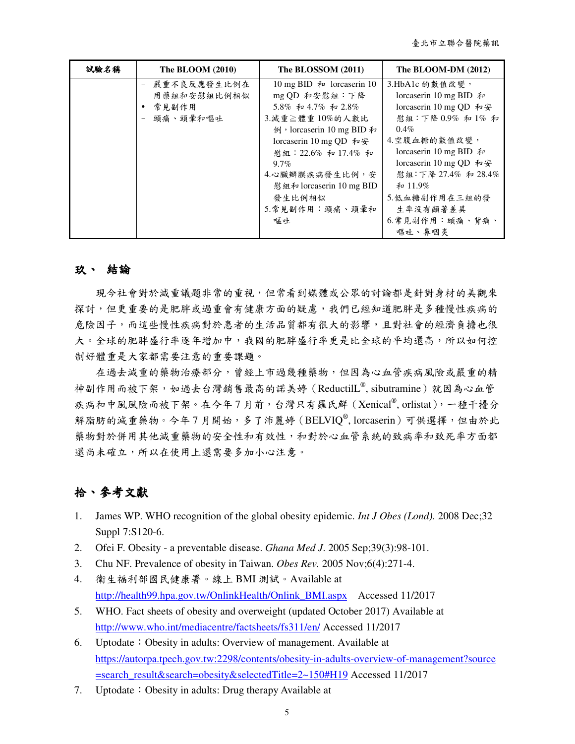臺北市立聯合醫院藥訊

| 試驗名稱 | The BLOOM (2010)                                | The BLOSSOM (2011)                                                                                                                                                                                                                   | The BLOOM-DM $(2012)$                                                                                                                                                                                                                        |
|------|-------------------------------------------------|--------------------------------------------------------------------------------------------------------------------------------------------------------------------------------------------------------------------------------------|----------------------------------------------------------------------------------------------------------------------------------------------------------------------------------------------------------------------------------------------|
|      | 嚴重不良反應發生比例在<br>用藥組和安慰組比例相似<br>常見副作用<br>頭痛、頭暈和嘔吐 | 10 mg BID $\bar{\pi}$ lorcaserin 10<br>mg QD 和安慰組:下降<br>5.8% 和 4.7% 和 2.8%<br>3.減重≧體重10%的人數比<br>例, lorcaserin 10 mg BID 和<br>lorcaserin 10 mg QD 和安<br>慰組: 22.6% 和 17.4% 和<br>$9.7\%$<br>4.心臟瓣膜疾病發生比例,安<br>慰 組和 lorcaserin 10 mg BID | 3.HbA1c 的數值改變,<br>lorcaserin 10 mg BID $\bar{\mathcal{H}}$<br>lorcaserin 10 mg QD 和安<br>慰組:下降 0.9% 和 1% 和<br>$0.4\%$<br>4.空腹血糖的數值改變,<br>lorcaserin 10 mg BID $\bar{\mathcal{H}}$<br>lorcaserin 10 mg QD 和安<br>慰組:下降 27.4% 和 28.4%<br>和 11.9% |
|      |                                                 | 發生比例相似<br>5.常見副作用:頭痛、頭暈和<br>嘔吐                                                                                                                                                                                                       | 5.低血糖副作用在三組的發<br>生率沒有顯著差異<br>6. 常見副作用:頭痛、背痛、<br>嘔吐、鼻咽炎                                                                                                                                                                                       |

## 玖、 結論

現今社會對於減重議題非常的重視,但常看到媒體或公眾的討論都是針對身材的美觀來 探討,但更重要的是肥胖或過重會有健康方面的疑慮,我們已經知道肥胖是多種慢性疾病的 危險因子,而這些慢性疾病對於患者的生活品質都有很大的影響,且對社會的經濟負擔也很 大。全球的肥胖盛行率逐年增加中,我國的肥胖盛行率更是比全球的平均還高,所以如何控 制好體重是大家都需要注意的重要課題。

在過去減重的藥物治療部分,曾經上市過幾種藥物,但因為心血管疾病風險或嚴重的精 神副作用而被下架,如過去台灣銷售最高的諾美婷 (ReductilL®, sibutramine)就因為心血管 疾病和中風風險而被下架。在今年7月前,台灣只有羅氏鮮 (Xenical®, orlistat), 一種干擾分 解脂肪的減重藥物。今年7月開始,多了沛麗婷 (BELVIQ®, lorcaserin)可供選擇,但由於此 藥物對於併用其他減重藥物的安全性和有效性,和對於心血管系統的致病率和致死率方面都 還尚未確立,所以在使用上還需要多加小心注意。

# 拾、參考文獻

- 1. James WP. WHO recognition of the global obesity epidemic. *Int J Obes (Lond)*. 2008 Dec;32 Suppl 7:S120-6.
- 2. Ofei F. Obesity a preventable disease. *Ghana Med J*. 2005 Sep;39(3):98-101.
- 3. Chu NF. Prevalence of obesity in Taiwan. *Obes Rev.* 2005 Nov;6(4):271-4.
- 4. 衛生福利部國民健康署。線上 BMI 測試。Available at http://health99.hpa.gov.tw/OnlinkHealth/Onlink\_BMI.aspx Accessed 11/2017
- 5. WHO. Fact sheets of obesity and overweight (updated October 2017) Available at http://www.who.int/mediacentre/factsheets/fs311/en/ Accessed 11/2017
- 6. Uptodate:Obesity in adults: Overview of management. Available at https://autorpa.tpech.gov.tw:2298/contents/obesity-in-adults-overview-of-management?source =search\_result&search=obesity&selectedTitle=2~150#H19 Accessed 11/2017
- 7. Uptodate: Obesity in adults: Drug therapy Available at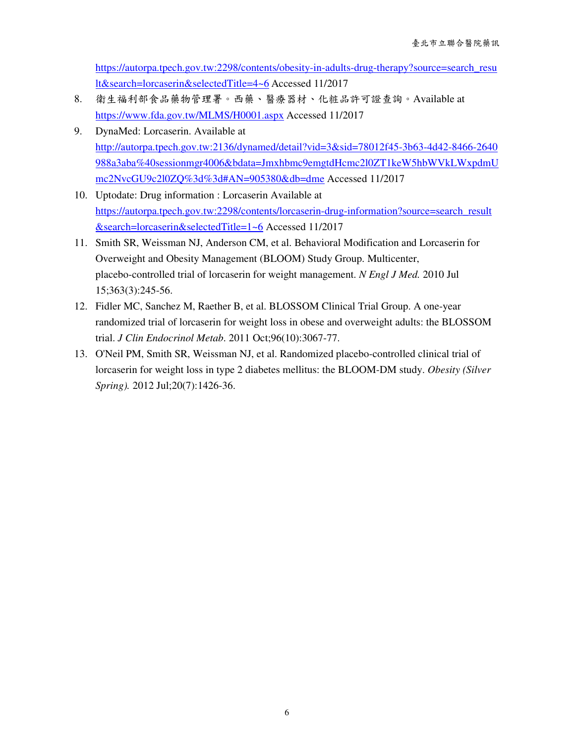https://autorpa.tpech.gov.tw:2298/contents/obesity-in-adults-drug-therapy?source=search\_resu lt&search=lorcaserin&selectedTitle=4~6 Accessed 11/2017

- 8. 衛生福利部食品藥物管理署。西藥、醫療器材、化粧品許可證查詢。Available at https://www.fda.gov.tw/MLMS/H0001.aspx Accessed 11/2017
- 9. DynaMed: Lorcaserin. Available at http://autorpa.tpech.gov.tw:2136/dynamed/detail?vid=3&sid=78012f45-3b63-4d42-8466-2640 988a3aba%40sessionmgr4006&bdata=Jmxhbmc9emgtdHcmc2l0ZT1keW5hbWVkLWxpdmU mc2NvcGU9c2l0ZQ%3d%3d#AN=905380&db=dme Accessed 11/2017
- 10. Uptodate: Drug information : Lorcaserin Available at https://autorpa.tpech.gov.tw:2298/contents/lorcaserin-drug-information?source=search\_result &search=lorcaserin&selectedTitle=1~6 Accessed 11/2017
- 11. Smith SR, Weissman NJ, Anderson CM, et al. Behavioral Modification and Lorcaserin for Overweight and Obesity Management (BLOOM) Study Group. Multicenter, placebo-controlled trial of lorcaserin for weight management. *N Engl J Med.* 2010 Jul 15;363(3):245-56.
- 12. Fidler MC, Sanchez M, Raether B, et al. BLOSSOM Clinical Trial Group. A one-year randomized trial of lorcaserin for weight loss in obese and overweight adults: the BLOSSOM trial. *J Clin Endocrinol Metab*. 2011 Oct;96(10):3067-77.
- 13. O'Neil PM, Smith SR, Weissman NJ, et al. Randomized placebo-controlled clinical trial of lorcaserin for weight loss in type 2 diabetes mellitus: the BLOOM-DM study. *Obesity (Silver Spring).* 2012 Jul;20(7):1426-36.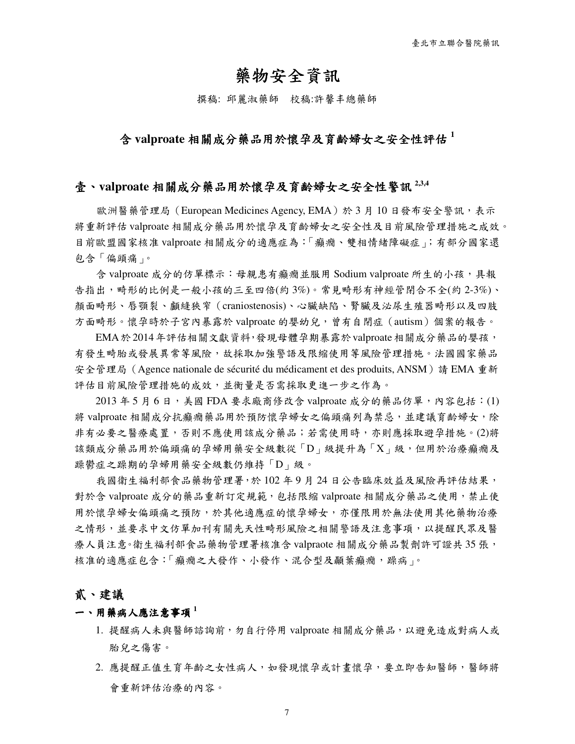# 藥物安全資訊

撰稿: 邱麗淑藥師 校稿:許馨丰總藥師

# 含 **valproate** 相關成分藥品用於懷孕及育齡婦女之安全性評估 **<sup>1</sup>**

### 壹、**valproate** 相關成分藥品用於懷孕及育齡婦女之安全性警訊 **2,3,4**

歐洲醫藥管理局(European Medicines Agency, EMA)於 3 月 10 日發布安全警訊,表示 將重新評估 valproate 相關成分藥品用於懷孕及育齡婦女之安全性及目前風險管理措施之成效。 目前歐盟國家核准 valproate 相關成分的適應症為:「癲癇、雙相情緒障礙症」;有部分國家還 包含「偏頭痛」。

含 valproate 成分的仿單標示: 母親患有癲癇並服用 Sodium valproate 所生的小孩,具報 告指出,畸形的比例是一般小孩的三至四倍(約 3%)。常見畸形有神經管閉合不全(約 2-3%)、 顏面畸形、唇顎裂、顱縫狹窄(craniostenosis)、心臟缺陷、腎臟及泌尿生殖器畸形以及四肢 方面畸形。懷孕時於子宮內暴露於 valproate 的嬰幼兒,曾有自閉症(autism)個案的報告。

 EMA於2014年評估相關文獻資料,發現母體孕期暴露於valproate相關成分藥品的嬰孩, 有發生畸胎或發展異常等風險,故採取加強警語及限縮使用等風險管理措施。法國國家藥品 安全管理局 (Agence nationale de sécurité du médicament et des produits, ANSM)請 EMA 重新 評估目前風險管理措施的成效,並衡量是否需採取更進一步之作為。

 $2013$  年 5 月 6 日, 美國 FDA 要求廠商修改含 valproate 成分的藥品仿單,內容包括: (1) 將 valproate 相關成分抗癲癇藥品用於預防懷孕婦女之偏頭痛列為禁忌,並建議育齡婦女,除 非有必要之醫療處置,否則不應使用該成分藥品;若需使用時,亦則應採取避孕措施。(2)將 該類成分藥品用於偏頭痛的孕婦用藥安全級數從「D」級提升為「X」級,但用於治療癲癇及 躁鬱症之躁期的孕婦用藥安全級數仍維持「D」級。

我國衛生福利部食品藥物管理署,於102年9月24日公告臨床效益及風險再評估結果, 對於含 valproate 成分的藥品重新訂定規範,包括限縮 valproate 相關成分藥品之使用,禁止使 用於懷孕婦女偏頭痛之預防,於其他適應症的懷孕婦女,亦僅限用於無法使用其他藥物治療 之情形,並要求中文仿單加刊有關先天性畸形風險之相關警語及注意事項,以提醒民眾及醫 療人員注意。衛生福利部食品藥物管理署核准含 valpraote 相關成分藥品製劑許可證共35張, 核准的適應症包含:「癲癇之大發作、小發作、混合型及顳葉癲癇,躁病」。

### 貳、建議

#### 一、用藥病人應注意事項 <sup>1</sup>

- 1. 提醒病人未與醫師諮詢前,勿自行停用 valproate 相關成分藥品, 以避免造成對病人或 胎兒之傷害。
- 2. 應提醒正值生育年齡之女性病人,如發現懷孕或計畫懷孕,要立即告知醫師,醫師將 會重新評估治療的內容。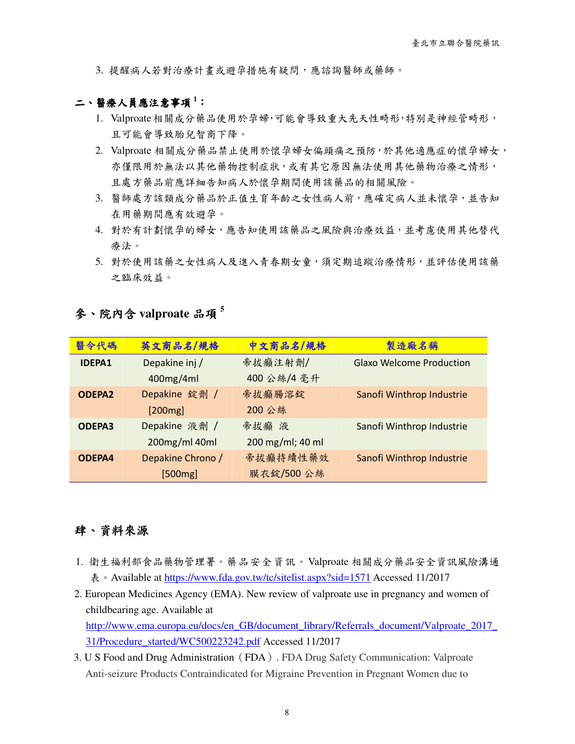3. 提醒病人若對治療計畫或避孕措施有疑問,應諮詢醫師或藥師。

### 二、醫療人員應注意事項<sup>1</sup>:

- 1. Valproate相關成分藥品使用於孕婦,可能會導致重大先天性畸形,特別是神經管畸形, 且可能會導致胎兒智商下降。
- 2. Valproate 相關成分藥品禁止使用於懷孕婦女偏頭痛之預防,於其他適應症的懷孕婦女, 亦僅限用於無法以其他藥物控制症狀,或有其它原因無法使用其他藥物治療之情形, 且處方藥品前應詳細告知病人於懷孕期間使用該藥品的相關風險。
- 3. 醫師處方該類成分藥品於正值生育年齡之女性病人前,應確定病人並未懷孕,並告知 在用藥期間應有效避孕。
- 4. 對於有計劃懷孕的婦女,應告知使用該藥品之風險與治療效益,並考慮使用其他替代 療法。
- 5. 對於使用該藥之女性病人及進入青春期女童,須定期追蹤治療情形,並評估使用該藥 之臨床效益。

# 參、院內含 **valproate** 品項 **<sup>5</sup>**

| 醫令代碼          | 英文商品名/規格          | 中文商品名/規格         | 製造廠名稱                           |
|---------------|-------------------|------------------|---------------------------------|
| <b>IDEPA1</b> | Depakine inj /    | 帝拔癲注射劑/          | <b>Glaxo Welcome Production</b> |
|               | 400mg/4ml         | 400公絲/4毫升        |                                 |
| <b>ODEPA2</b> | Depakine 錠劑 /     | 帝拔癲腸溶錠           | Sanofi Winthrop Industrie       |
|               | [200mg]           | 200 公絲           |                                 |
| <b>ODEPA3</b> | Depakine 液劑 /     | 帝拔癲 液            | Sanofi Winthrop Industrie       |
|               | 200mg/ml 40ml     | 200 mg/ml; 40 ml |                                 |
| ODEPA4        | Depakine Chrono / | 帝拔癲持續性藥效         | Sanofi Winthrop Industrie       |
|               | [500mg]           | 膜衣錠/500公絲        |                                 |

# 肆、資料來源

- 1. 衛生福利部食品藥物管理署。藥品安全資訊。Valproate 相關成分藥品安全資訊風險溝通 表。Available at https://www.fda.gov.tw/tc/sitelist.aspx?sid=1571 Accessed 11/2017
- 2. European Medicines Agency (EMA). New review of valproate use in pregnancy and women of childbearing age. Available at http://www.ema.europa.eu/docs/en\_GB/document\_library/Referrals\_document/Valproate\_2017 31/Procedure\_started/WC500223242.pdf Accessed 11/2017
- 3. U S Food and Drug Administration(FDA). FDA Drug Safety Communication: Valproate Anti-seizure Products Contraindicated for Migraine Prevention in Pregnant Women due to